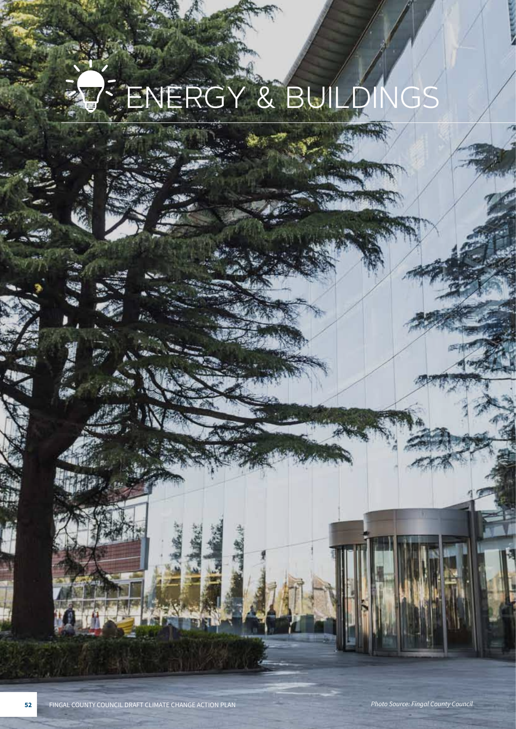## ERGY & BUILDINGS

Pa.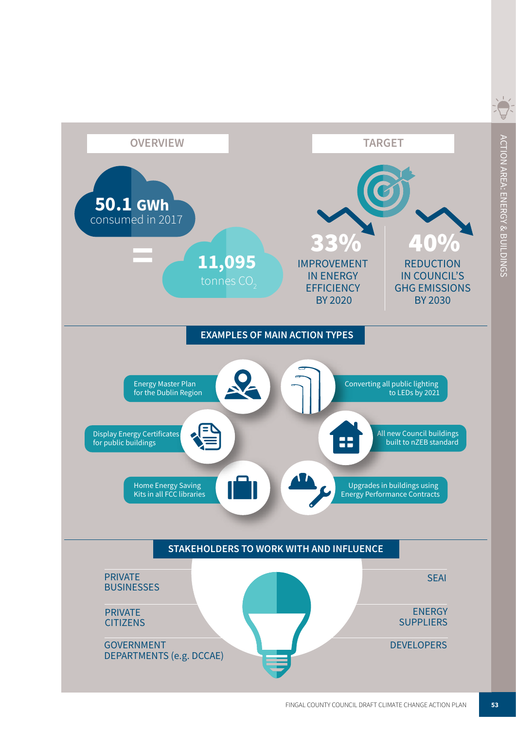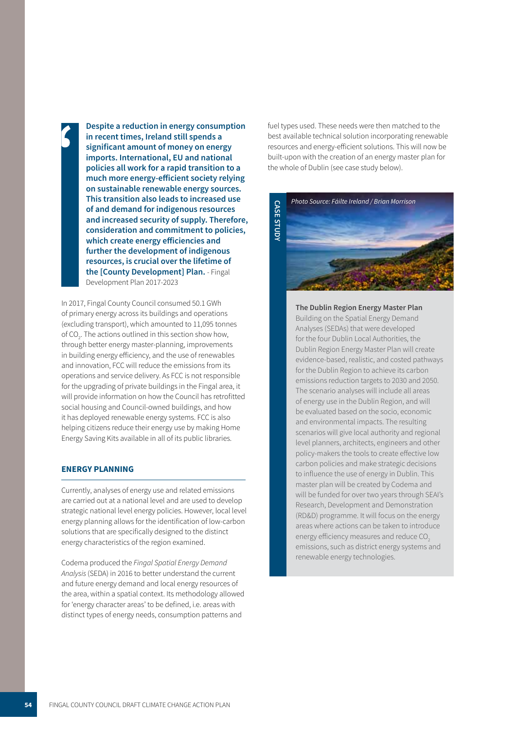**Despite a reduction in energy consumption in recent times, Ireland still spends a**  i **significant amount of money on energy imports. International, EU and national policies all work for a rapid transition to a much more energy-efficient society relying on sustainable renewable energy sources. This transition also leads to increased use of and demand for indigenous resources and increased security of supply. Therefore, consideration and commitment to policies, which create energy efficiencies and further the development of indigenous resources, is crucial over the lifetime of the [County Development] Plan.** - Fingal Development Plan 2017-2023

In 2017, Fingal County Council consumed 50.1 GWh of primary energy across its buildings and operations (excluding transport), which amounted to 11,095 tonnes of CO<sub>2</sub>. The actions outlined in this section show how, through better energy master-planning, improvements in building energy efficiency, and the use of renewables and innovation, FCC will reduce the emissions from its operations and service delivery. As FCC is not responsible for the upgrading of private buildings in the Fingal area, it will provide information on how the Council has retrofitted social housing and Council-owned buildings, and how it has deployed renewable energy systems. FCC is also helping citizens reduce their energy use by making Home Energy Saving Kits available in all of its public libraries.

#### **ENERGY PLANNING**

Currently, analyses of energy use and related emissions are carried out at a national level and are used to develop strategic national level energy policies. However, local level energy planning allows for the identification of low-carbon solutions that are specifically designed to the distinct energy characteristics of the region examined.

Codema produced the Fingal Spatial Energy Demand *Analysis* (SEDA) in 2016 to better understand the current and future energy demand and local energy resources of the area, within a spatial context. Its methodology allowed for 'energy character areas' to be defined, i.e. areas with distinct types of energy needs, consumption patterns and

fuel types used. These needs were then matched to the best available technical solution incorporating renewable resources and energy-efficient solutions. This will now be built-upon with the creation of an energy master plan for the whole of Dublin (see case study below).



**The Dublin Region Energy Master Plan** Building on the Spatial Energy Demand Analyses (SEDAs) that were developed for the four Dublin Local Authorities, the Dublin Region Energy Master Plan will create evidence-based, realistic, and costed pathways for the Dublin Region to achieve its carbon emissions reduction targets to 2030 and 2050. The scenario analyses will include all areas of energy use in the Dublin Region, and will be evaluated based on the socio, economic and environmental impacts. The resulting scenarios will give local authority and regional level planners, architects, engineers and other policy-makers the tools to create effective low carbon policies and make strategic decisions to influence the use of energy in Dublin. This master plan will be created by Codema and will be funded for over two years through SEAI's Research, Development and Demonstration (RD&D) programme. It will focus on the energy areas where actions can be taken to introduce energy efficiency measures and reduce CO<sub>2</sub> emissions, such as district energy systems and renewable energy technologies.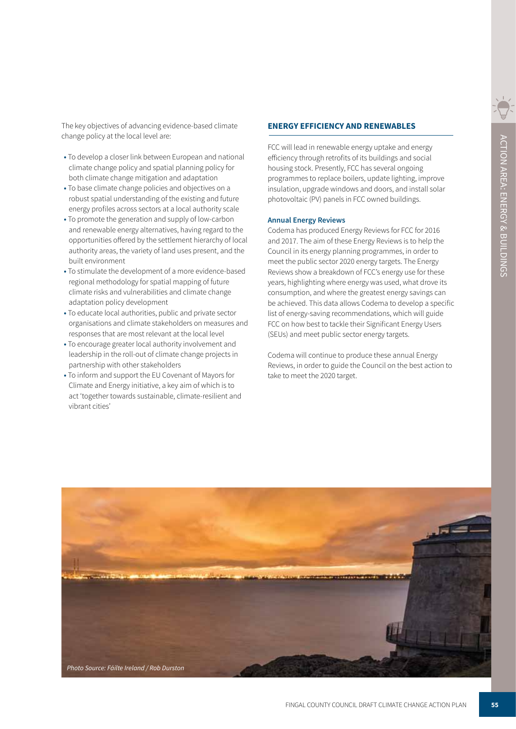The key objectives of advancing evidence-based climate change policy at the local level are:

- To develop a closer link between European and national climate change policy and spatial planning policy for both climate change mitigation and adaptation
- To base climate change policies and objectives on a robust spatial understanding of the existing and future energy profiles across sectors at a local authority scale
- To promote the generation and supply of low-carbon and renewable energy alternatives, having regard to the opportunities offered by the settlement hierarchy of local authority areas, the variety of land uses present, and the built environment
- To stimulate the development of a more evidence-based regional methodology for spatial mapping of future climate risks and vulnerabilities and climate change adaptation policy development
- To educate local authorities, public and private sector organisations and climate stakeholders on measures and responses that are most relevant at the local level
- To encourage greater local authority involvement and leadership in the roll-out of climate change projects in partnership with other stakeholders
- To inform and support the EU Covenant of Mayors for Climate and Energy initiative, a key aim of which is to act 'together towards sustainable, climate-resilient and vibrant cities'

#### **ENERGY EFFICIENCY AND RENEWABLES**

FCC will lead in renewable energy uptake and energy efficiency through retrofits of its buildings and social housing stock. Presently, FCC has several ongoing programmes to replace boilers, update lighting, improve insulation, upgrade windows and doors, and install solar photovoltaic (PV) panels in FCC owned buildings.

#### **Annual Energy Reviews**

Codema has produced Energy Reviews for FCC for 2016 and 2017. The aim of these Energy Reviews is to help the Council in its energy planning programmes, in order to meet the public sector 2020 energy targets. The Energy Reviews show a breakdown of FCC's energy use for these years, highlighting where energy was used, what drove its consumption, and where the greatest energy savings can be achieved. This data allows Codema to develop a specific list of energy-saving recommendations, which will guide FCC on how best to tackle their Significant Energy Users (SEUs) and meet public sector energy targets.

Codema will continue to produce these annual Energy Reviews, in order to guide the Council on the best action to take to meet the 2020 target.

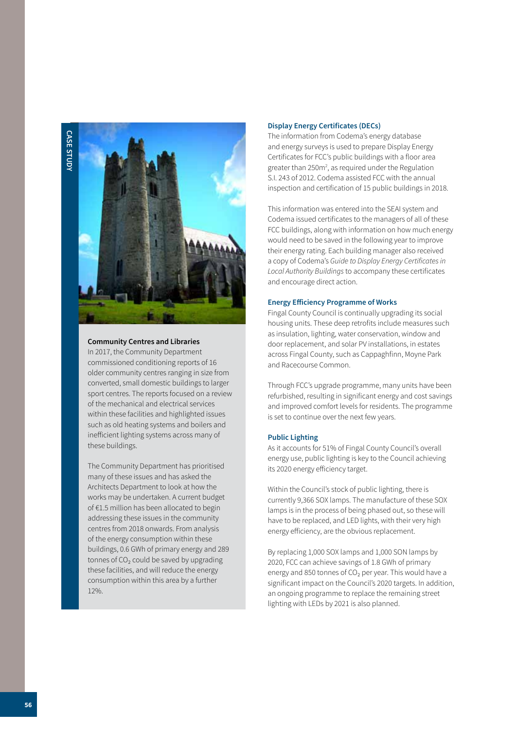

#### **Community Centres and Libraries**

In 2017, the Community Department commissioned conditioning reports of 16 older community centres ranging in size from converted, small domestic buildings to larger sport centres. The reports focused on a review of the mechanical and electrical services within these facilities and highlighted issues such as old heating systems and boilers and inefficient lighting systems across many of these buildings.

The Community Department has prioritised many of these issues and has asked the Architects Department to look at how the works may be undertaken. A current budget of €1.5 million has been allocated to begin addressing these issues in the community centres from 2018 onwards. From analysis of the energy consumption within these buildings, 0.6 GWh of primary energy and 289 tonnes of CO<sub>2</sub> could be saved by upgrading these facilities, and will reduce the energy consumption within this area by a further 12%.

#### **Display Energy Certificates (DECs)**

The information from Codema's energy database and energy surveys is used to prepare Display Energy Certificates for FCC's public buildings with a floor area greater than 250m<sup>2</sup>, as required under the Regulation S.I. 243 of 2012. Codema assisted FCC with the annual inspection and certification of 15 public buildings in 2018.

This information was entered into the SEAI system and Codema issued certificates to the managers of all of these FCC buildings, along with information on how much energy would need to be saved in the following year to improve their energy rating. Each building manager also received a copy of Codema's Guide to Display Energy Certificates in *Local Authority Buildings* to accompany these certificates and encourage direct action.

#### **Energy Efficiency Programme of Works**

Fingal County Council is continually upgrading its social housing units. These deep retrofits include measures such as insulation, lighting, water conservation, window and door replacement, and solar PV installations, in estates across Fingal County, such as Cappaghfinn, Moyne Park and Racecourse Common.

Through FCC's upgrade programme, many units have been refurbished, resulting in significant energy and cost savings and improved comfort levels for residents. The programme is set to continue over the next few years.

#### **Public Lighting**

As it accounts for 51% of Fingal County Council's overall energy use, public lighting is key to the Council achieving its 2020 energy efficiency target.

Within the Council's stock of public lighting, there is currently 9,366 SOX lamps. The manufacture of these SOX lamps is in the process of being phased out, so these will have to be replaced, and LED lights, with their very high energy efficiency, are the obvious replacement.

By replacing 1,000 SOX lamps and 1,000 SON lamps by 2020, FCC can achieve savings of 1.8 GWh of primary energy and 850 tonnes of  $CO<sub>2</sub>$  per year. This would have a significant impact on the Council's 2020 targets. In addition, an ongoing programme to replace the remaining street lighting with LEDs by 2021 is also planned.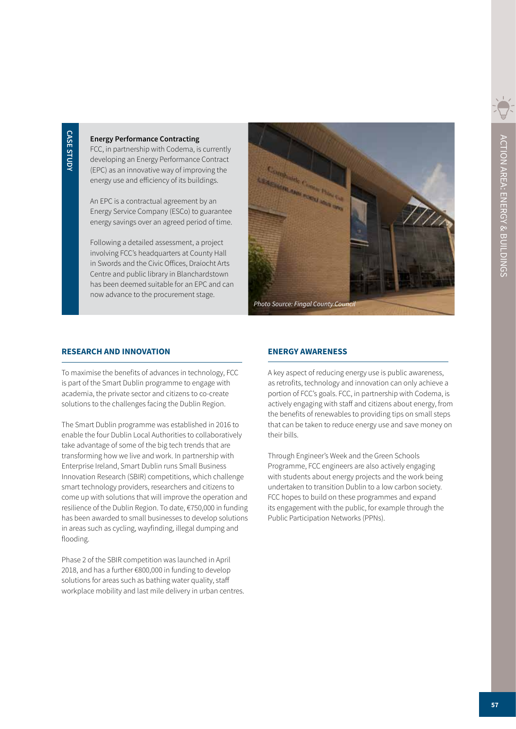#### **Energy Performance Contracting**

FCC, in partnership with Codema, is currently developing an Energy Performance Contract (EPC) as an innovative way of improving the energy use and efficiency of its buildings.

An EPC is a contractual agreement by an Energy Service Company (ESCo) to guarantee energy savings over an agreed period of time.

Following a detailed assessment, a project involving FCC's headquarters at County Hall in Swords and the Civic Offices, Draíocht Arts Centre and public library in Blanchardstown has been deemed suitable for an EPC and can now advance to the procurement stage.



#### **RESEARCH AND INNOVATION**

To maximise the benefits of advances in technology, FCC is part of the Smart Dublin programme to engage with academia, the private sector and citizens to co-create solutions to the challenges facing the Dublin Region.

The Smart Dublin programme was established in 2016 to enable the four Dublin Local Authorities to collaboratively take advantage of some of the big tech trends that are transforming how we live and work. In partnership with Enterprise Ireland, Smart Dublin runs Small Business Innovation Research (SBIR) competitions, which challenge smart technology providers, researchers and citizens to come up with solutions that will improve the operation and resilience of the Dublin Region. To date, €750,000 in funding has been awarded to small businesses to develop solutions in areas such as cycling, wayfinding, illegal dumping and flooding.

Phase 2 of the SBIR competition was launched in April 2018, and has a further €800,000 in funding to develop solutions for areas such as bathing water quality, staff workplace mobility and last mile delivery in urban centres.

#### **ENERGY AWARENESS**

A key aspect of reducing energy use is public awareness, as retrofits, technology and innovation can only achieve a portion of FCC's goals. FCC, in partnership with Codema, is actively engaging with staff and citizens about energy, from the benefits of renewables to providing tips on small steps that can be taken to reduce energy use and save money on their bills.

Through Engineer's Week and the Green Schools Programme, FCC engineers are also actively engaging with students about energy projects and the work being undertaken to transition Dublin to a low carbon society. FCC hopes to build on these programmes and expand its engagement with the public, for example through the Public Participation Networks (PPNs).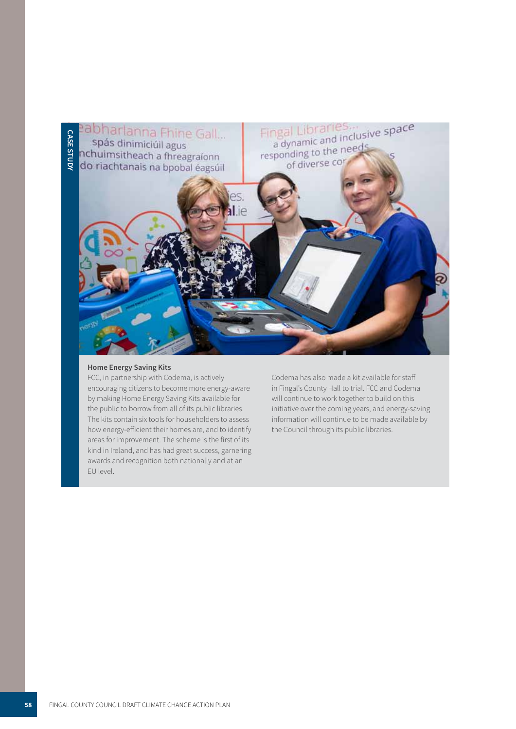

#### **Home Energy Saving Kits**

FCC, in partnership with Codema, is actively encouraging citizens to become more energy-aware by making Home Energy Saving Kits available for the public to borrow from all of its public libraries. The kits contain six tools for householders to assess how energy-efficient their homes are, and to identify areas for improvement. The scheme is the first of its kind in Ireland, and has had great success, garnering awards and recognition both nationally and at an EU level.

Codema has also made a kit available for staff in Fingal's County Hall to trial. FCC and Codema will continue to work together to build on this initiative over the coming years, and energy-saving information will continue to be made available by the Council through its public libraries.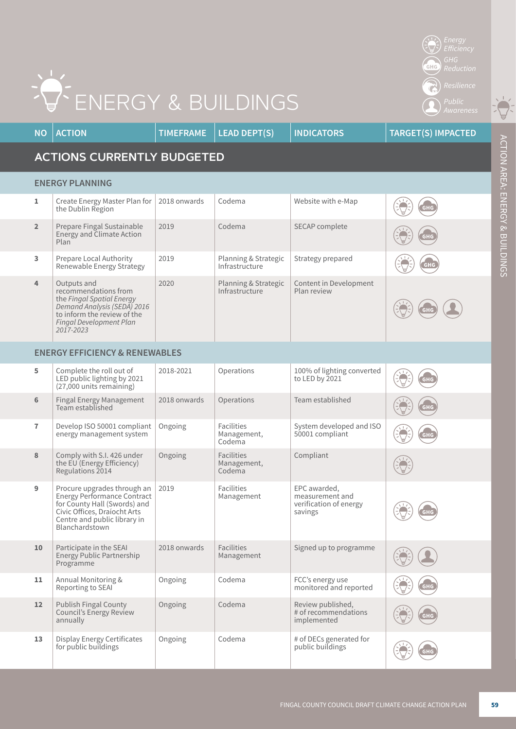| ENERGY & BUILDINGS<br>Public<br>Awareness                |                                                                                                                                                                                            |                  |                                            |                                                                      |                           |  |  |
|----------------------------------------------------------|--------------------------------------------------------------------------------------------------------------------------------------------------------------------------------------------|------------------|--------------------------------------------|----------------------------------------------------------------------|---------------------------|--|--|
| <b>NO</b>                                                | <b>ACTION</b>                                                                                                                                                                              | <b>TIMEFRAME</b> | <b>LEAD DEPT(S)</b>                        | <b>INDICATORS</b>                                                    | <b>TARGET(S) IMPACTED</b> |  |  |
| ACTION AREA: ENERGY<br><b>ACTIONS CURRENTLY BUDGETED</b> |                                                                                                                                                                                            |                  |                                            |                                                                      |                           |  |  |
|                                                          | <b>ENERGY PLANNING</b>                                                                                                                                                                     |                  |                                            |                                                                      |                           |  |  |
| $\mathbf{1}$                                             | Create Energy Master Plan for<br>the Dublin Region                                                                                                                                         | 2018 onwards     | Codema                                     | Website with e-Map                                                   |                           |  |  |
| $\overline{2}$                                           | Prepare Fingal Sustainable<br><b>Energy and Climate Action</b><br>Plan                                                                                                                     | 2019             | Codema                                     | SECAP complete                                                       | GHG                       |  |  |
| 3                                                        | Prepare Local Authority<br>Renewable Energy Strategy                                                                                                                                       | 2019             | Planning & Strategic<br>Infrastructure     | Strategy prepared                                                    | GHC                       |  |  |
| 4                                                        | Outputs and<br>recommendations from<br>the Fingal Spatial Energy<br>Demand Analysis (SEDA) 2016<br>to inform the review of the<br>Fingal Development Plan<br>2017-2023                     | 2020             | Planning & Strategic<br>Infrastructure     | Content in Development<br>Plan review                                |                           |  |  |
|                                                          | <b>ENERGY EFFICIENCY &amp; RENEWABLES</b>                                                                                                                                                  |                  |                                            |                                                                      |                           |  |  |
| 5                                                        | Complete the roll out of<br>LED public lighting by 2021<br>(27,000 units remaining)                                                                                                        | 2018-2021        | Operations                                 | 100% of lighting converted<br>to LED by 2021                         | GHC                       |  |  |
| $6\phantom{1}6$                                          | Fingal Energy Management<br>Team established                                                                                                                                               | 2018 onwards     | Operations                                 | Team established                                                     | GHG                       |  |  |
| $\overline{1}$                                           | Develop ISO 50001 compliant<br>energy management system                                                                                                                                    | Ongoing          | Facilities<br>Management,<br>Codema        | System developed and ISO<br>50001 compliant                          | <b>GHG</b>                |  |  |
| 8                                                        | Comply with S.I. 426 under<br>the EU (Energy Efficiency)<br>Regulations 2014                                                                                                               | Ongoing          | <b>Facilities</b><br>Management,<br>Codema | Compliant                                                            |                           |  |  |
| 9                                                        | Procure upgrades through an   2019<br><b>Energy Performance Contract</b><br>for County Hall (Swords) and<br>Civic Offices, Draíocht Arts<br>Centre and public library in<br>Blanchardstown |                  | Facilities<br>Management                   | EPC awarded,<br>measurement and<br>verification of energy<br>savings |                           |  |  |
| 10                                                       | Participate in the SEAI<br>Energy Public Partnership<br>Programme                                                                                                                          | 2018 onwards     | <b>Facilities</b><br>Management            | Signed up to programme                                               |                           |  |  |
| 11                                                       | Annual Monitoring &<br>Reporting to SEAI                                                                                                                                                   | Ongoing          | Codema                                     | FCC's energy use<br>monitored and reported                           |                           |  |  |
| $12 \overline{ }$                                        | <b>Publish Fingal County</b><br>Council's Energy Review<br>annually                                                                                                                        | Ongoing          | Codema                                     | Review published,<br># of recommendations<br>implemented             |                           |  |  |
| 13                                                       | <b>Display Energy Certificates</b><br>for public buildings                                                                                                                                 | Ongoing          | Codema                                     | # of DECs generated for<br>public buildings                          |                           |  |  |

## ENERGY & BUILDINGS

 $\widehat{\mathbb{C}}$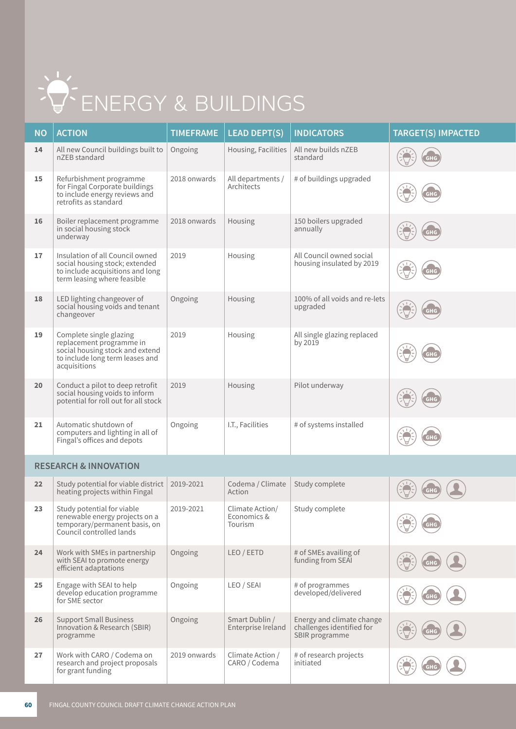# ENERGY & BUILDINGS

| <b>NO</b> | <b>ACTION</b>                                                                                                                             | <b>TIMEFRAME</b> | <b>LEAD DEPT(S)</b>             | <b>INDICATORS</b>                                     | <b>TARGET(S) IMPACTED</b> |
|-----------|-------------------------------------------------------------------------------------------------------------------------------------------|------------------|---------------------------------|-------------------------------------------------------|---------------------------|
| 14        | All new Council buildings built to<br>nZEB standard                                                                                       | Ongoing          | Housing, Facilities             | All new builds nZEB<br>standard                       |                           |
| 15        | Refurbishment programme<br>for Fingal Corporate buildings<br>to include energy reviews and<br>retrofits as standard                       | 2018 onwards     | All departments /<br>Architects | # of buildings upgraded                               | GHC                       |
| 16        | Boiler replacement programme<br>in social housing stock<br>underway                                                                       | 2018 onwards     | Housing                         | 150 boilers upgraded<br>annually                      | GHG                       |
| 17        | Insulation of all Council owned<br>social housing stock; extended<br>to include acquisitions and long<br>term leasing where feasible      | 2019             | Housing                         | All Council owned social<br>housing insulated by 2019 | GHC                       |
| 18        | LED lighting changeover of<br>social housing voids and tenant<br>changeover                                                               | Ongoing          | Housing                         | 100% of all voids and re-lets<br>upgraded             | GHG                       |
| 19        | Complete single glazing<br>replacement programme in<br>social housing stock and extend<br>to include long term leases and<br>acquisitions | 2019             | Housing                         | All single glazing replaced<br>by 2019                | GHC                       |
| 20        | Conduct a pilot to deep retrofit<br>social housing voids to inform<br>potential for roll out for all stock                                | 2019             | Housing                         | Pilot underway                                        |                           |
| 21        | Automatic shutdown of<br>computers and lighting in all of<br>Fingal's offices and depots                                                  | Ongoing          | I.T., Facilities                | # of systems installed                                |                           |

#### **RESEARCH & INNOVATION**

| 22 | Study potential for viable district<br>heating projects within Fingal                                                     | 2019-2021    | Codema / Climate<br>Action                | Study complete                                                           | GHG |
|----|---------------------------------------------------------------------------------------------------------------------------|--------------|-------------------------------------------|--------------------------------------------------------------------------|-----|
| 23 | Study potential for viable<br>renewable energy projects on a<br>temporary/permanent basis, on<br>Council controlled lands | 2019-2021    | Climate Action/<br>Economics &<br>Tourism | Study complete                                                           | GHG |
| 24 | Work with SMEs in partnership<br>with SEAI to promote energy<br>efficient adaptations                                     | Ongoing      | LEO / EETD                                | # of SMEs availing of<br>funding from SEAI                               | GHG |
| 25 | Engage with SEAI to help<br>develop education programme<br>for SME sector                                                 | Ongoing      | LEO / SEAI                                | # of programmes<br>developed/delivered                                   | GHG |
| 26 | <b>Support Small Business</b><br>Innovation & Research (SBIR)<br>programme                                                | Ongoing      | Smart Dublin /<br>Enterprise Ireland      | Energy and climate change<br>challenges identified for<br>SBIR programme |     |
| 27 | Work with CARO / Codema on<br>research and project proposals<br>for grant funding                                         | 2019 onwards | Climate Action /<br>CARO / Codema         | # of research projects<br>initiated                                      | GHG |